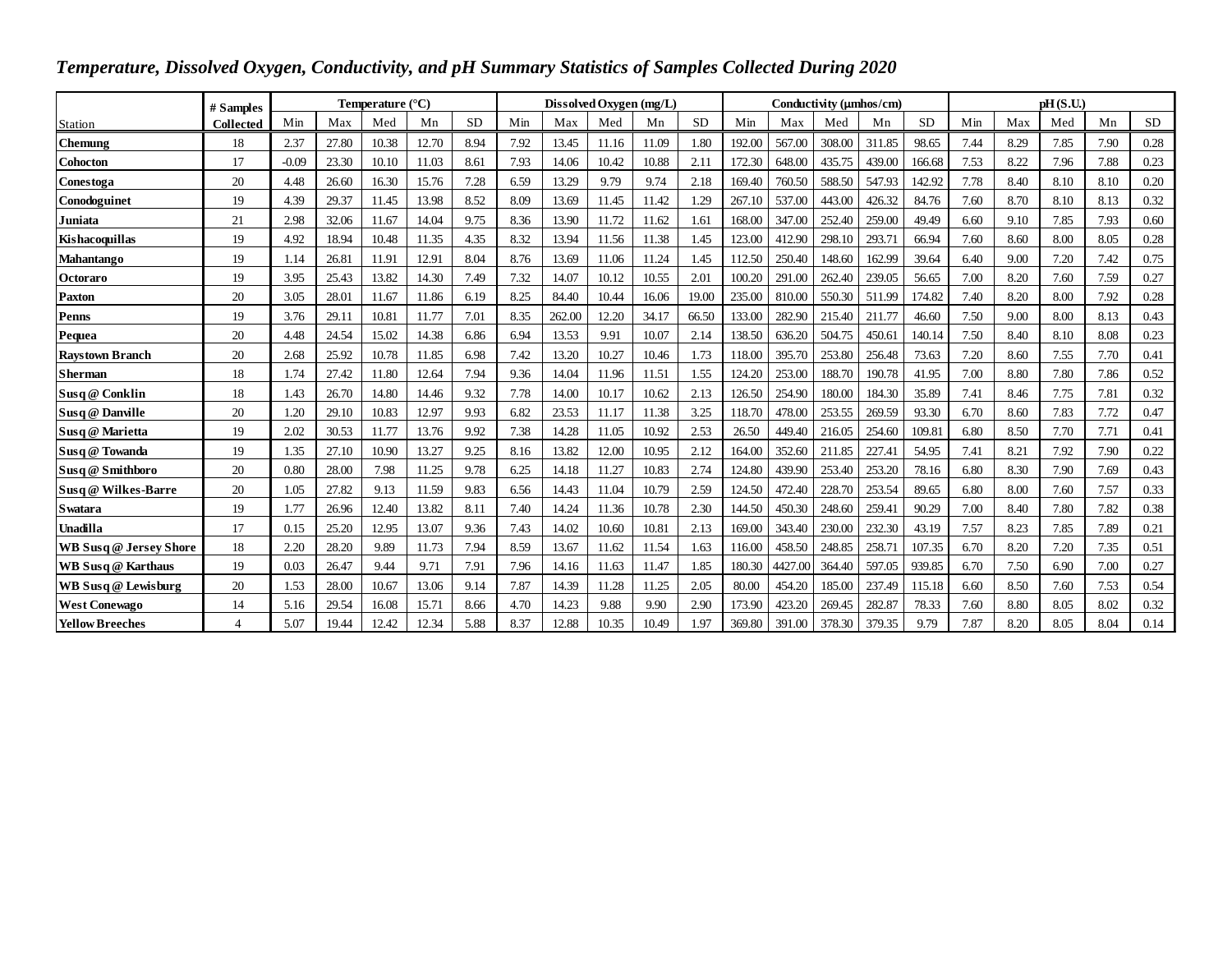| Temperature, Dissolved Oxygen, Conductivity, and pH Summary Statistics of Samples Collected During 2020 |                  |                           |       |       |       |           |      |                         |       |       |           |                         |         |        |          |           |      |      |      |      |           |
|---------------------------------------------------------------------------------------------------------|------------------|---------------------------|-------|-------|-------|-----------|------|-------------------------|-------|-------|-----------|-------------------------|---------|--------|----------|-----------|------|------|------|------|-----------|
|                                                                                                         | # Samples        | Temperature $(^{\circ}C)$ |       |       |       |           |      | Dissolved Oxygen (mg/L) |       |       |           | Conductivity (umhos/cm) |         |        | pH(S.U.) |           |      |      |      |      |           |
| <b>Station</b>                                                                                          | <b>Collected</b> | Min                       | Max   | Med   | Mn    | <b>SD</b> | Min  | Max                     | Med   | Mn    | <b>SD</b> | Min                     | Max     | Med    | Mn       | <b>SD</b> | Min  | Max  | Med  | Mn   | <b>SD</b> |
| <b>Chemung</b>                                                                                          | 18               | 2.37                      | 27.80 | 10.38 | 12.70 | 8.94      | 7.92 | 13.45                   | 11.16 | 11.09 | 1.80      | 192.00                  | 567.00  | 308.00 | 311.85   | 98.65     | 7.44 | 8.29 | 7.85 | 7.90 | 0.28      |
| <b>Cohocton</b>                                                                                         | 17               | $-0.09$                   | 23.30 | 10.10 | 11.03 | 8.61      | 7.93 | 14.06                   | 10.42 | 10.88 | 2.11      | 172.30                  | 648.00  | 435.75 | 439.00   | 166.68    | 7.53 | 8.22 | 7.96 | 7.88 | 0.23      |
| Conestoga                                                                                               | 20               | 4.48                      | 26.60 | 16.30 | 15.76 | 7.28      | 6.59 | 13.29                   | 9.79  | 9.74  | 2.18      | 169.40                  | 760.50  | 588.50 | 547.93   | 142.92    | 7.78 | 8.40 | 8.10 | 8.10 | 0.20      |
| Conodoguinet                                                                                            | 19               | 4.39                      | 29.37 | 11.45 | 13.98 | 8.52      | 8.09 | 13.69                   | 11.45 | 11.42 | 1.29      | 267.10                  | 537.00  | 443.00 | 426.32   | 84.76     | 7.60 | 8.70 | 8.10 | 8.13 | 0.32      |
| Juniata                                                                                                 | 21               | 2.98                      | 32.06 | 11.67 | 14.04 | 9.75      | 8.36 | 13.90                   | 11.72 | 11.62 | 1.61      | 168.00                  | 347.00  | 252.40 | 259.00   | 49.49     | 6.60 | 9.10 | 7.85 | 7.93 | 0.60      |
| Kishacoquillas                                                                                          | 19               | 4.92                      | 18.94 | 10.48 | 11.35 | 4.35      | 8.32 | 13.94                   | 11.56 | 11.38 | 1.45      | 123.00                  | 412.90  | 298.10 | 293.71   | 66.94     | 7.60 | 8.60 | 8.00 | 8.05 | 0.28      |
| <b>Mahantango</b>                                                                                       | 19               | 1.14                      | 26.81 | 11.91 | 12.91 | 8.04      | 8.76 | 13.69                   | 11.06 | 11.24 | 1.45      | 112.50                  | 250.40  | 148.60 | 162.99   | 39.64     | 6.40 | 9.00 | 7.20 | 7.42 | 0.75      |
| <b>Octoraro</b>                                                                                         | 19               | 3.95                      | 25.43 | 13.82 | 14.30 | 7.49      | 7.32 | 14.07                   | 10.12 | 10.55 | 2.01      | 100.20                  | 291.00  | 262.40 | 239.05   | 56.65     | 7.00 | 8.20 | 7.60 | 7.59 | 0.27      |
| <b>Paxton</b>                                                                                           | 20               | 3.05                      | 28.01 | 11.67 | 11.86 | 6.19      | 8.25 | 84.40                   | 10.44 | 16.06 | 19.00     | 235.00                  | 810.00  | 550.30 | 511.99   | 174.82    | 7.40 | 8.20 | 8.00 | 7.92 | 0.28      |
| <b>Penns</b>                                                                                            | 19               | 3.76                      | 29.11 | 10.81 | 11.77 | 7.01      | 8.35 | 262.00                  | 12.20 | 34.17 | 66.50     | 133.00                  | 282.90  | 215.40 | 211.77   | 46.60     | 7.50 | 9.00 | 8.00 | 8.13 | 0.43      |
| Pequea                                                                                                  | 20               | 4.48                      | 24.54 | 15.02 | 14.38 | 6.86      | 6.94 | 13.53                   | 9.91  | 10.07 | 2.14      | 138.50                  | 636.20  | 504.75 | 450.61   | 140.14    | 7.50 | 8.40 | 8.10 | 8.08 | 0.23      |
| <b>Raystown Branch</b>                                                                                  | 20               | 2.68                      | 25.92 | 10.78 | 11.85 | 6.98      | 7.42 | 13.20                   | 10.27 | 10.46 | 1.73      | 118.00                  | 395.70  | 253.80 | 256.48   | 73.63     | 7.20 | 8.60 | 7.55 | 7.70 | 0.41      |
| <b>Sherman</b>                                                                                          | 18               | 1.74                      | 27.42 | 11.80 | 12.64 | 7.94      | 9.36 | 14.04                   | 11.96 | 11.51 | 1.55      | 124.20                  | 253.00  | 188.70 | 190.78   | 41.95     | 7.00 | 8.80 | 7.80 | 7.86 | 0.52      |
| Susq @ Conklin                                                                                          | 18               | 1.43                      | 26.70 | 14.80 | 14.46 | 9.32      | 7.78 | 14.00                   | 10.17 | 10.62 | 2.13      | 126.50                  | 254.90  | 180.00 | 184.30   | 35.89     | 7.41 | 8.46 | 7.75 | 7.81 | 0.32      |
| Susq @ Danville                                                                                         | 20               | 1.20                      | 29.10 | 10.83 | 12.97 | 9.93      | 6.82 | 23.53                   | 11.17 | 11.38 | 3.25      | 118.70                  | 478.00  | 253.55 | 269.59   | 93.30     | 6.70 | 8.60 | 7.83 | 7.72 | 0.47      |
| Susq@Marietta                                                                                           | 19               | 2.02                      | 30.53 | 11.77 | 13.76 | 9.92      | 7.38 | 14.28                   | 11.05 | 10.92 | 2.53      | 26.50                   | 449.40  | 216.05 | 254.60   | 109.81    | 6.80 | 8.50 | 7.70 | 7.71 | 0.41      |
| Susq @ Towanda                                                                                          | 19               | 1.35                      | 27.10 | 10.90 | 13.27 | 9.25      | 8.16 | 13.82                   | 12.00 | 10.95 | 2.12      | 164.00                  | 352.60  | 211.85 | 227.41   | 54.95     | 7.41 | 8.21 | 7.92 | 7.90 | 0.22      |
| Susq @ Smithboro                                                                                        | 20               | 0.80                      | 28.00 | 7.98  | 11.25 | 9.78      | 6.25 | 14.18                   | 11.27 | 10.83 | 2.74      | 124.80                  | 439.90  | 253.40 | 253.20   | 78.16     | 6.80 | 8.30 | 7.90 | 7.69 | 0.43      |
| Susq @ Wilkes-Barre                                                                                     | 20               | 1.05                      | 27.82 | 9.13  | 11.59 | 9.83      | 6.56 | 14.43                   | 11.04 | 10.79 | 2.59      | 124.50                  | 472.40  | 228.70 | 253.54   | 89.65     | 6.80 | 8.00 | 7.60 | 7.57 | 0.33      |
| <b>S</b> watara                                                                                         | 19               | 1.77                      | 26.96 | 12.40 | 13.82 | 8.11      | 7.40 | 14.24                   | 11.36 | 10.78 | 2.30      | 144.50                  | 450.30  | 248.60 | 259.41   | 90.29     | 7.00 | 8.40 | 7.80 | 7.82 | 0.38      |
| <b>Unadilla</b>                                                                                         | 17               | 0.15                      | 25.20 | 12.95 | 13.07 | 9.36      | 7.43 | 14.02                   | 10.60 | 10.81 | 2.13      | 169.00                  | 343.40  | 230.00 | 232.30   | 43.19     | 7.57 | 8.23 | 7.85 | 7.89 | 0.21      |
| <b>WB Susq @ Jersey Shore</b>                                                                           | 18               | 2.20                      | 28.20 | 9.89  | 11.73 | 7.94      | 8.59 | 13.67                   | 11.62 | 11.54 | 1.63      | 116.00                  | 458.50  | 248.85 | 258.71   | 107.35    | 6.70 | 8.20 | 7.20 | 7.35 | 0.51      |
| <b>WB</b> Susq @ Karthaus                                                                               | 19               | 0.03                      | 26.47 | 9.44  | 9.71  | 7.91      | 7.96 | 14.16                   | 11.63 | 11.47 | 1.85      | 180.30                  | 4427.00 | 364.40 | 597.05   | 939.85    | 6.70 | 7.50 | 6.90 | 7.00 | 0.27      |
| <b>WB Susq @ Lewisburg</b>                                                                              | 20               | 1.53                      | 28.00 | 10.67 | 13.06 | 9.14      | 7.87 | 14.39                   | 11.28 | 11.25 | 2.05      | 80.00                   | 454.20  | 185.00 | 237.49   | 115.18    | 6.60 | 8.50 | 7.60 | 7.53 | 0.54      |
| <b>West Conewago</b>                                                                                    | 14               | 5.16                      | 29.54 | 16.08 | 15.71 | 8.66      | 4.70 | 14.23                   | 9.88  | 9.90  | 2.90      | 173.90                  | 423.20  | 269.45 | 282.87   | 78.33     | 7.60 | 8.80 | 8.05 | 8.02 | 0.32      |
| <b>Yellow Breeches</b>                                                                                  | $\overline{4}$   | 5.07                      | 19.44 | 12.42 | 12.34 | 5.88      | 8.37 | 12.88                   | 10.35 | 10.49 | 1.97      | 369.80                  | 391.00  | 378.30 | 379.35   | 9.79      | 7.87 | 8.20 | 8.05 | 8.04 | 0.14      |

## *Temperature, Dissolved Oxygen, Conductivity, and pH Summary Statistics of Samples Collected During 2020*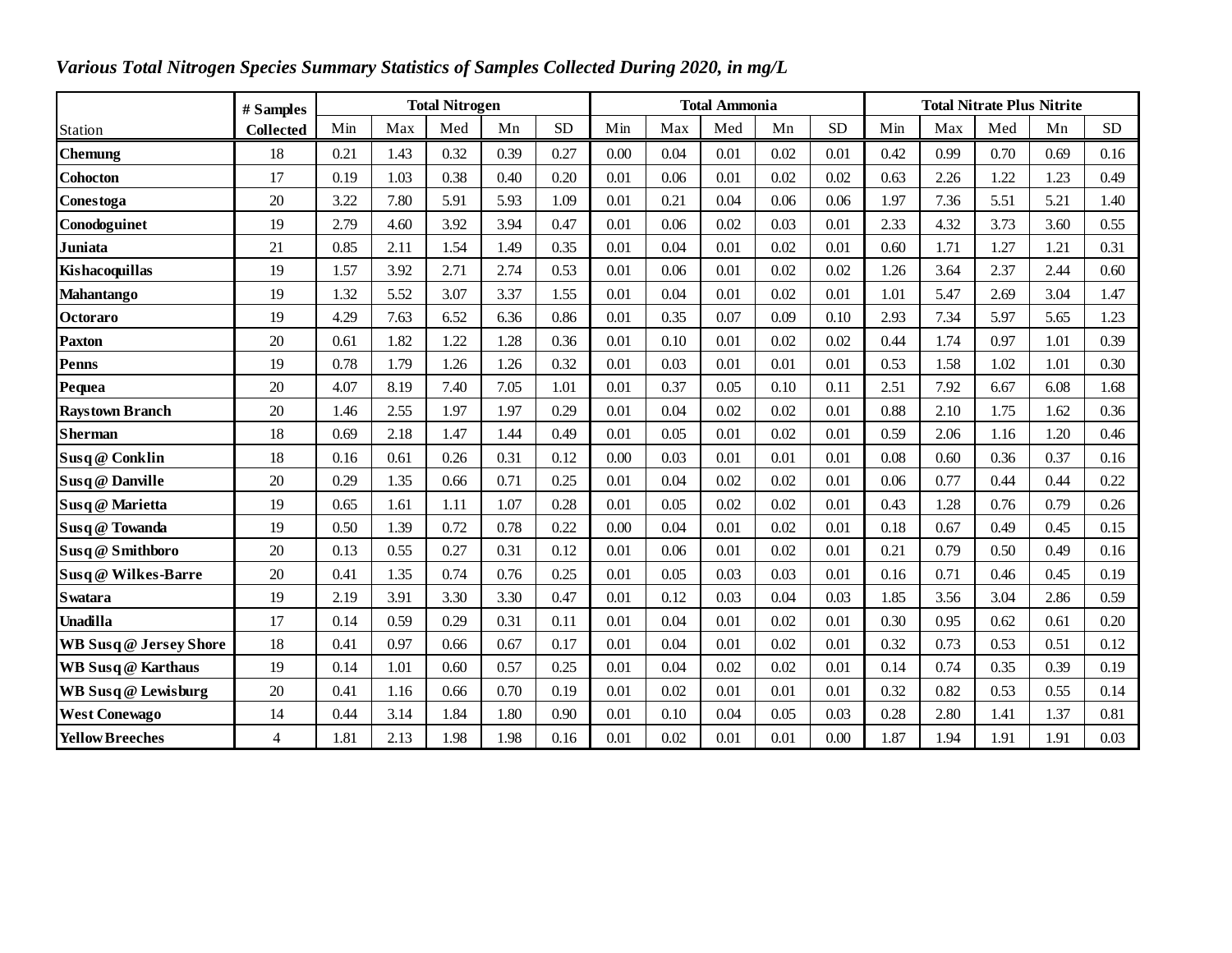| Various Total Nitrogen Species Summary Statistics of Samples Collected During 2020, in mg/L |                  |      |      |                       |      |           |      |      |                      |      |           |                                   |      |      |      |            |  |  |
|---------------------------------------------------------------------------------------------|------------------|------|------|-----------------------|------|-----------|------|------|----------------------|------|-----------|-----------------------------------|------|------|------|------------|--|--|
|                                                                                             | # Samples        |      |      | <b>Total Nitrogen</b> |      |           |      |      | <b>Total Ammonia</b> |      |           | <b>Total Nitrate Plus Nitrite</b> |      |      |      |            |  |  |
| Station                                                                                     | <b>Collected</b> | Min  | Max  | Med                   | Mn   | <b>SD</b> | Min  | Max  | Med                  | Mn   | <b>SD</b> | Min                               | Max  | Med  | Mn   | ${\rm SD}$ |  |  |
| <b>Chemung</b>                                                                              | 18               | 0.21 | 1.43 | 0.32                  | 0.39 | 0.27      | 0.00 | 0.04 | 0.01                 | 0.02 | 0.01      | 0.42                              | 0.99 | 0.70 | 0.69 | 0.16       |  |  |
| <b>Cohocton</b>                                                                             | 17               | 0.19 | 1.03 | 0.38                  | 0.40 | 0.20      | 0.01 | 0.06 | 0.01                 | 0.02 | 0.02      | 0.63                              | 2.26 | 1.22 | 1.23 | 0.49       |  |  |
| Conestoga                                                                                   | 20               | 3.22 | 7.80 | 5.91                  | 5.93 | 1.09      | 0.01 | 0.21 | 0.04                 | 0.06 | 0.06      | 1.97                              | 7.36 | 5.51 | 5.21 | 1.40       |  |  |
| Conodoguinet                                                                                | 19               | 2.79 | 4.60 | 3.92                  | 3.94 | 0.47      | 0.01 | 0.06 | 0.02                 | 0.03 | 0.01      | 2.33                              | 4.32 | 3.73 | 3.60 | 0.55       |  |  |
| Juniata                                                                                     | 21               | 0.85 | 2.11 | 1.54                  | 1.49 | 0.35      | 0.01 | 0.04 | 0.01                 | 0.02 | 0.01      | 0.60                              | 1.71 | 1.27 | 1.21 | 0.31       |  |  |
| Kishacoquillas                                                                              | 19               | 1.57 | 3.92 | 2.71                  | 2.74 | 0.53      | 0.01 | 0.06 | 0.01                 | 0.02 | 0.02      | 1.26                              | 3.64 | 2.37 | 2.44 | 0.60       |  |  |
| <b>Mahantango</b>                                                                           | 19               | 1.32 | 5.52 | 3.07                  | 3.37 | 1.55      | 0.01 | 0.04 | 0.01                 | 0.02 | 0.01      | 1.01                              | 5.47 | 2.69 | 3.04 | 1.47       |  |  |
| Octoraro                                                                                    | 19               | 4.29 | 7.63 | 6.52                  | 6.36 | 0.86      | 0.01 | 0.35 | 0.07                 | 0.09 | 0.10      | 2.93                              | 7.34 | 5.97 | 5.65 | 1.23       |  |  |
| <b>Paxton</b>                                                                               | 20               | 0.61 | 1.82 | 1.22                  | 1.28 | 0.36      | 0.01 | 0.10 | 0.01                 | 0.02 | 0.02      | 0.44                              | 1.74 | 0.97 | 1.01 | 0.39       |  |  |
| <b>Penns</b>                                                                                | 19               | 0.78 | 1.79 | 1.26                  | 1.26 | 0.32      | 0.01 | 0.03 | 0.01                 | 0.01 | 0.01      | 0.53                              | 1.58 | 1.02 | 1.01 | 0.30       |  |  |
| Pequea                                                                                      | 20               | 4.07 | 8.19 | 7.40                  | 7.05 | 1.01      | 0.01 | 0.37 | 0.05                 | 0.10 | 0.11      | 2.51                              | 7.92 | 6.67 | 6.08 | 1.68       |  |  |
| <b>Raystown Branch</b>                                                                      | 20               | 1.46 | 2.55 | 1.97                  | 1.97 | 0.29      | 0.01 | 0.04 | 0.02                 | 0.02 | 0.01      | 0.88                              | 2.10 | 1.75 | 1.62 | 0.36       |  |  |
| <b>Sherman</b>                                                                              | 18               | 0.69 | 2.18 | 1.47                  | 1.44 | 0.49      | 0.01 | 0.05 | 0.01                 | 0.02 | 0.01      | 0.59                              | 2.06 | 1.16 | 1.20 | 0.46       |  |  |
| Susq @ Conklin                                                                              | 18               | 0.16 | 0.61 | 0.26                  | 0.31 | 0.12      | 0.00 | 0.03 | 0.01                 | 0.01 | 0.01      | 0.08                              | 0.60 | 0.36 | 0.37 | 0.16       |  |  |
| Susq @ Danville                                                                             | 20               | 0.29 | 1.35 | 0.66                  | 0.71 | 0.25      | 0.01 | 0.04 | 0.02                 | 0.02 | 0.01      | 0.06                              | 0.77 | 0.44 | 0.44 | 0.22       |  |  |
| Susq @ Marietta                                                                             | 19               | 0.65 | 1.61 | 1.11                  | 1.07 | 0.28      | 0.01 | 0.05 | 0.02                 | 0.02 | 0.01      | 0.43                              | 1.28 | 0.76 | 0.79 | 0.26       |  |  |
| Susq @ Towanda                                                                              | 19               | 0.50 | 1.39 | 0.72                  | 0.78 | 0.22      | 0.00 | 0.04 | 0.01                 | 0.02 | 0.01      | 0.18                              | 0.67 | 0.49 | 0.45 | 0.15       |  |  |
| Susq @ Smithboro                                                                            | 20               | 0.13 | 0.55 | 0.27                  | 0.31 | 0.12      | 0.01 | 0.06 | 0.01                 | 0.02 | 0.01      | 0.21                              | 0.79 | 0.50 | 0.49 | 0.16       |  |  |
| Susq @ Wilkes-Barre                                                                         | 20               | 0.41 | 1.35 | 0.74                  | 0.76 | 0.25      | 0.01 | 0.05 | 0.03                 | 0.03 | 0.01      | 0.16                              | 0.71 | 0.46 | 0.45 | 0.19       |  |  |
| <b>Swatara</b>                                                                              | 19               | 2.19 | 3.91 | 3.30                  | 3.30 | 0.47      | 0.01 | 0.12 | 0.03                 | 0.04 | 0.03      | 1.85                              | 3.56 | 3.04 | 2.86 | 0.59       |  |  |
| Unadilla                                                                                    | 17               | 0.14 | 0.59 | 0.29                  | 0.31 | 0.11      | 0.01 | 0.04 | 0.01                 | 0.02 | 0.01      | 0.30                              | 0.95 | 0.62 | 0.61 | 0.20       |  |  |
| WB Susq @ Jersey Shore                                                                      | 18               | 0.41 | 0.97 | 0.66                  | 0.67 | 0.17      | 0.01 | 0.04 | 0.01                 | 0.02 | 0.01      | 0.32                              | 0.73 | 0.53 | 0.51 | 0.12       |  |  |
| <b>WB</b> Susq @ Karthaus                                                                   | 19               | 0.14 | 1.01 | 0.60                  | 0.57 | 0.25      | 0.01 | 0.04 | 0.02                 | 0.02 | 0.01      | 0.14                              | 0.74 | 0.35 | 0.39 | 0.19       |  |  |
| WB Susq @ Lewisburg                                                                         | 20               | 0.41 | 1.16 | 0.66                  | 0.70 | 0.19      | 0.01 | 0.02 | 0.01                 | 0.01 | 0.01      | 0.32                              | 0.82 | 0.53 | 0.55 | 0.14       |  |  |
| <b>West Conewago</b>                                                                        | 14               | 0.44 | 3.14 | 1.84                  | 1.80 | 0.90      | 0.01 | 0.10 | 0.04                 | 0.05 | 0.03      | 0.28                              | 2.80 | 1.41 | 1.37 | 0.81       |  |  |
| <b>Yellow Breeches</b>                                                                      | 4                | 1.81 | 2.13 | 1.98                  | 1.98 | 0.16      | 0.01 | 0.02 | 0.01                 | 0.01 | 0.00      | 1.87                              | 1.94 | 1.91 | 1.91 | 0.03       |  |  |

## *Various Total Nitrogen Species Summary Statistics of Samples Collected During 2020, in mg/L*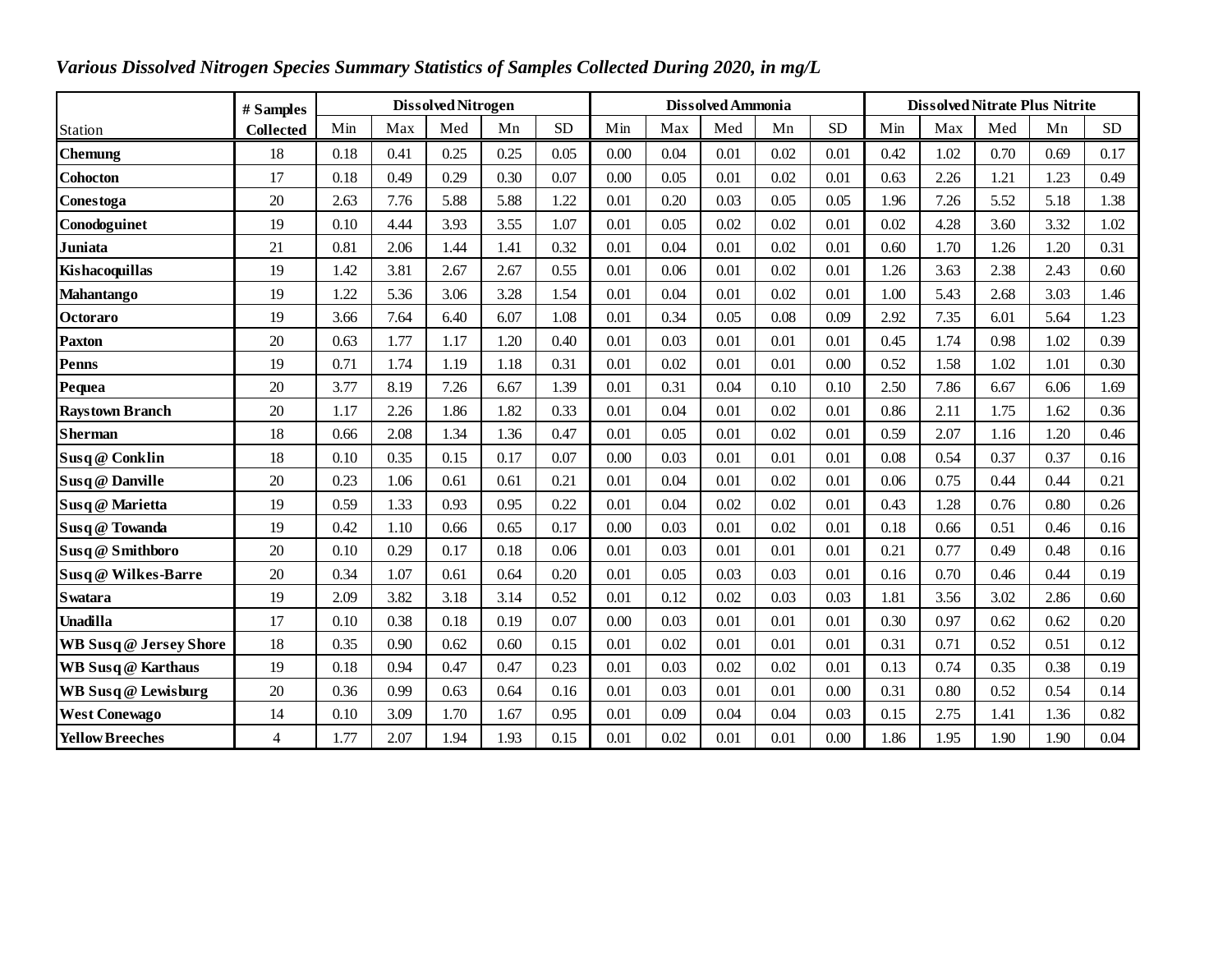| Various Dissolved Nitrogen Species Summary Statistics of Samples Collected During 2020, in mg/L |                  |      |      |                           |      |           |          |      |                   |      |           |                                       |      |      |      |            |  |  |
|-------------------------------------------------------------------------------------------------|------------------|------|------|---------------------------|------|-----------|----------|------|-------------------|------|-----------|---------------------------------------|------|------|------|------------|--|--|
|                                                                                                 | # Samples        |      |      | <b>Dissolved Nitrogen</b> |      |           |          |      | Dissolved Ammonia |      |           | <b>Dissolved Nitrate Plus Nitrite</b> |      |      |      |            |  |  |
| Station                                                                                         | <b>Collected</b> | Min  | Max  | Med                       | Mn   | <b>SD</b> | Min      | Max  | Med               | Mn   | <b>SD</b> | Min                                   | Max  | Med  | Mn   | ${\rm SD}$ |  |  |
| <b>Chemung</b>                                                                                  | 18               | 0.18 | 0.41 | 0.25                      | 0.25 | 0.05      | 0.00     | 0.04 | 0.01              | 0.02 | 0.01      | 0.42                                  | 1.02 | 0.70 | 0.69 | 0.17       |  |  |
| <b>Cohocton</b>                                                                                 | 17               | 0.18 | 0.49 | 0.29                      | 0.30 | 0.07      | 0.00     | 0.05 | 0.01              | 0.02 | 0.01      | 0.63                                  | 2.26 | 1.21 | 1.23 | 0.49       |  |  |
| Conestoga                                                                                       | 20               | 2.63 | 7.76 | 5.88                      | 5.88 | 1.22      | 0.01     | 0.20 | 0.03              | 0.05 | 0.05      | 1.96                                  | 7.26 | 5.52 | 5.18 | 1.38       |  |  |
| Conodoguinet                                                                                    | 19               | 0.10 | 4.44 | 3.93                      | 3.55 | 1.07      | 0.01     | 0.05 | 0.02              | 0.02 | 0.01      | 0.02                                  | 4.28 | 3.60 | 3.32 | 1.02       |  |  |
| Juniata                                                                                         | 21               | 0.81 | 2.06 | 1.44                      | 1.41 | 0.32      | 0.01     | 0.04 | 0.01              | 0.02 | 0.01      | 0.60                                  | 1.70 | 1.26 | 1.20 | 0.31       |  |  |
| Kishacoquillas                                                                                  | 19               | 1.42 | 3.81 | 2.67                      | 2.67 | 0.55      | 0.01     | 0.06 | 0.01              | 0.02 | 0.01      | 1.26                                  | 3.63 | 2.38 | 2.43 | 0.60       |  |  |
| <b>Mahantango</b>                                                                               | 19               | 1.22 | 5.36 | 3.06                      | 3.28 | 1.54      | 0.01     | 0.04 | 0.01              | 0.02 | 0.01      | 1.00                                  | 5.43 | 2.68 | 3.03 | 1.46       |  |  |
| Octoraro                                                                                        | 19               | 3.66 | 7.64 | 6.40                      | 6.07 | 1.08      | 0.01     | 0.34 | 0.05              | 0.08 | 0.09      | 2.92                                  | 7.35 | 6.01 | 5.64 | 1.23       |  |  |
| <b>Paxton</b>                                                                                   | 20               | 0.63 | 1.77 | 1.17                      | 1.20 | 0.40      | 0.01     | 0.03 | 0.01              | 0.01 | 0.01      | 0.45                                  | 1.74 | 0.98 | 1.02 | 0.39       |  |  |
| <b>Penns</b>                                                                                    | 19               | 0.71 | 1.74 | 1.19                      | 1.18 | 0.31      | 0.01     | 0.02 | 0.01              | 0.01 | 0.00      | 0.52                                  | 1.58 | 1.02 | 1.01 | 0.30       |  |  |
| Pequea                                                                                          | 20               | 3.77 | 8.19 | 7.26                      | 6.67 | 1.39      | 0.01     | 0.31 | 0.04              | 0.10 | 0.10      | 2.50                                  | 7.86 | 6.67 | 6.06 | 1.69       |  |  |
| <b>Raystown Branch</b>                                                                          | 20               | 1.17 | 2.26 | 1.86                      | 1.82 | 0.33      | 0.01     | 0.04 | 0.01              | 0.02 | 0.01      | 0.86                                  | 2.11 | 1.75 | 1.62 | 0.36       |  |  |
| <b>Sherman</b>                                                                                  | 18               | 0.66 | 2.08 | 1.34                      | 1.36 | 0.47      | 0.01     | 0.05 | 0.01              | 0.02 | 0.01      | 0.59                                  | 2.07 | 1.16 | 1.20 | 0.46       |  |  |
| Susq @ Conklin                                                                                  | 18               | 0.10 | 0.35 | 0.15                      | 0.17 | 0.07      | 0.00     | 0.03 | 0.01              | 0.01 | 0.01      | 0.08                                  | 0.54 | 0.37 | 0.37 | 0.16       |  |  |
| Susq @ Danville                                                                                 | 20               | 0.23 | 1.06 | 0.61                      | 0.61 | 0.21      | 0.01     | 0.04 | 0.01              | 0.02 | 0.01      | 0.06                                  | 0.75 | 0.44 | 0.44 | 0.21       |  |  |
| Susq @ Marietta                                                                                 | 19               | 0.59 | 1.33 | 0.93                      | 0.95 | 0.22      | $0.01\,$ | 0.04 | 0.02              | 0.02 | 0.01      | 0.43                                  | 1.28 | 0.76 | 0.80 | 0.26       |  |  |
| Susq @ Towanda                                                                                  | 19               | 0.42 | 1.10 | 0.66                      | 0.65 | 0.17      | 0.00     | 0.03 | 0.01              | 0.02 | 0.01      | 0.18                                  | 0.66 | 0.51 | 0.46 | 0.16       |  |  |
| Susq @ Smithboro                                                                                | 20               | 0.10 | 0.29 | 0.17                      | 0.18 | 0.06      | 0.01     | 0.03 | 0.01              | 0.01 | 0.01      | 0.21                                  | 0.77 | 0.49 | 0.48 | 0.16       |  |  |
| Susq @ Wilkes-Barre                                                                             | 20               | 0.34 | 1.07 | 0.61                      | 0.64 | 0.20      | 0.01     | 0.05 | 0.03              | 0.03 | 0.01      | 0.16                                  | 0.70 | 0.46 | 0.44 | 0.19       |  |  |
| <b>Swatara</b>                                                                                  | 19               | 2.09 | 3.82 | 3.18                      | 3.14 | 0.52      | 0.01     | 0.12 | 0.02              | 0.03 | 0.03      | 1.81                                  | 3.56 | 3.02 | 2.86 | 0.60       |  |  |
| Unadilla                                                                                        | 17               | 0.10 | 0.38 | 0.18                      | 0.19 | 0.07      | 0.00     | 0.03 | 0.01              | 0.01 | 0.01      | 0.30                                  | 0.97 | 0.62 | 0.62 | 0.20       |  |  |
| WB Susq @ Jersey Shore                                                                          | 18               | 0.35 | 0.90 | 0.62                      | 0.60 | 0.15      | 0.01     | 0.02 | 0.01              | 0.01 | 0.01      | 0.31                                  | 0.71 | 0.52 | 0.51 | 0.12       |  |  |
| <b>WB</b> Susq @ Karthaus                                                                       | 19               | 0.18 | 0.94 | 0.47                      | 0.47 | 0.23      | 0.01     | 0.03 | 0.02              | 0.02 | 0.01      | 0.13                                  | 0.74 | 0.35 | 0.38 | 0.19       |  |  |
| WB Susq @ Lewisburg                                                                             | 20               | 0.36 | 0.99 | 0.63                      | 0.64 | 0.16      | 0.01     | 0.03 | 0.01              | 0.01 | 0.00      | 0.31                                  | 0.80 | 0.52 | 0.54 | 0.14       |  |  |
| <b>West Conewago</b>                                                                            | 14               | 0.10 | 3.09 | 1.70                      | 1.67 | 0.95      | 0.01     | 0.09 | 0.04              | 0.04 | 0.03      | 0.15                                  | 2.75 | 1.41 | 1.36 | 0.82       |  |  |
| <b>Yellow Breeches</b>                                                                          | 4                | 1.77 | 2.07 | 1.94                      | 1.93 | 0.15      | 0.01     | 0.02 | 0.01              | 0.01 | 0.00      | 1.86                                  | 1.95 | 1.90 | 1.90 | 0.04       |  |  |

## *Various Dissolved Nitrogen Species Summary Statistics of Samples Collected During 2020, in mg/L*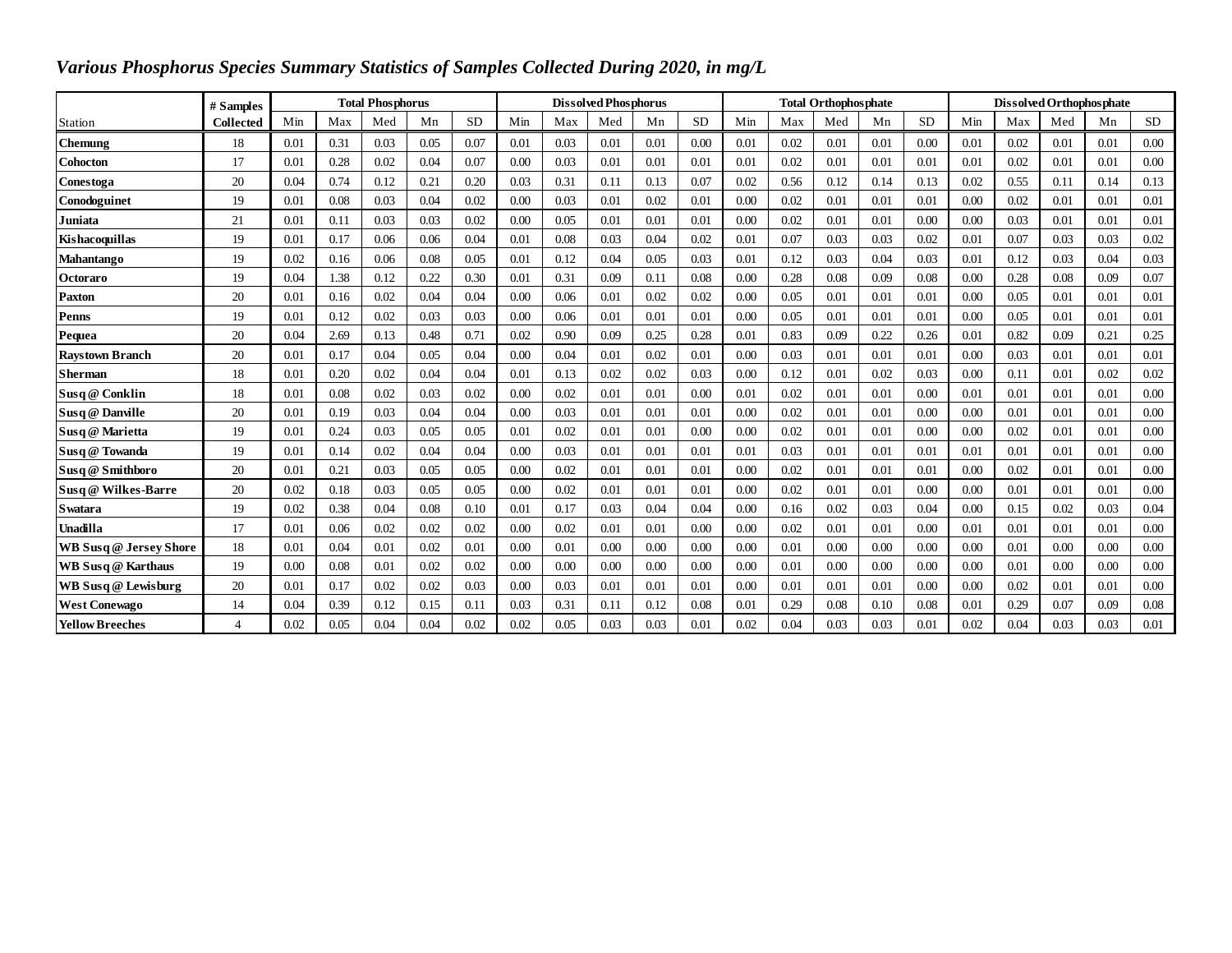| Various Phosphorus Species Summary Statistics of Samples Collected During 2020, in mg/L |                  |                         |      |      |      |           |      |                             |      |      |           |      |      |                             |      |           |                          |      |      |      |           |  |
|-----------------------------------------------------------------------------------------|------------------|-------------------------|------|------|------|-----------|------|-----------------------------|------|------|-----------|------|------|-----------------------------|------|-----------|--------------------------|------|------|------|-----------|--|
|                                                                                         | # Samples        | <b>Total Phosphorus</b> |      |      |      |           |      | <b>Dissolved Phosphorus</b> |      |      |           |      |      | <b>Total Orthophosphate</b> |      |           | Dissolved Orthophosphate |      |      |      |           |  |
| Station                                                                                 | <b>Collected</b> | Min                     | Max  | Med  | Mn   | <b>SD</b> | Min  | Max                         | Med  | Mn   | <b>SD</b> | Min  | Max  | Med                         | Mn   | <b>SD</b> | Min                      | Max  | Med  | Mn   | <b>SD</b> |  |
| Chemung                                                                                 | 18               | 0.01                    | 0.31 | 0.03 | 0.05 | 0.07      | 0.01 | 0.03                        | 0.01 | 0.01 | 0.00      | 0.01 | 0.02 | 0.01                        | 0.01 | 0.00      | 0.01                     | 0.02 | 0.01 | 0.01 | 0.00      |  |
| <b>Cohocton</b>                                                                         | 17               | 0.01                    | 0.28 | 0.02 | 0.04 | 0.07      | 0.00 | 0.03                        | 0.01 | 0.01 | 0.01      | 0.01 | 0.02 | 0.01                        | 0.01 | 0.01      | 0.01                     | 0.02 | 0.01 | 0.01 | 0.00      |  |
| Conestoga                                                                               | 20               | 0.04                    | 0.74 | 0.12 | 0.21 | 0.20      | 0.03 | 0.31                        | 0.11 | 0.13 | 0.07      | 0.02 | 0.56 | 0.12                        | 0.14 | 0.13      | 0.02                     | 0.55 | 0.11 | 0.14 | 0.13      |  |
| Conodoguinet                                                                            | 19               | 0.01                    | 0.08 | 0.03 | 0.04 | 0.02      | 0.00 | 0.03                        | 0.01 | 0.02 | 0.01      | 0.00 | 0.02 | 0.01                        | 0.01 | 0.01      | 0.00                     | 0.02 | 0.01 | 0.01 | 0.01      |  |
| Juniata                                                                                 | 21               | 0.01                    | 0.11 | 0.03 | 0.03 | 0.02      | 0.00 | 0.05                        | 0.01 | 0.01 | 0.01      | 0.00 | 0.02 | 0.01                        | 0.01 | 0.00      | 0.00                     | 0.03 | 0.01 | 0.01 | 0.01      |  |
| Kishacoquillas                                                                          | 19               | 0.01                    | 0.17 | 0.06 | 0.06 | 0.04      | 0.01 | 0.08                        | 0.03 | 0.04 | 0.02      | 0.01 | 0.07 | 0.03                        | 0.03 | 0.02      | 0.01                     | 0.07 | 0.03 | 0.03 | 0.02      |  |
| <b>Mahantango</b>                                                                       | 19               | 0.02                    | 0.16 | 0.06 | 0.08 | 0.05      | 0.01 | 0.12                        | 0.04 | 0.05 | 0.03      | 0.01 | 0.12 | 0.03                        | 0.04 | 0.03      | 0.01                     | 0.12 | 0.03 | 0.04 | 0.03      |  |
| <b>Octoraro</b>                                                                         | 19               | 0.04                    | 1.38 | 0.12 | 0.22 | 0.30      | 0.01 | 0.31                        | 0.09 | 0.11 | 0.08      | 0.00 | 0.28 | 0.08                        | 0.09 | 0.08      | 0.00                     | 0.28 | 0.08 | 0.09 | 0.07      |  |
| <b>Paxton</b>                                                                           | 20               | 0.01                    | 0.16 | 0.02 | 0.04 | 0.04      | 0.00 | 0.06                        | 0.01 | 0.02 | 0.02      | 0.00 | 0.05 | 0.01                        | 0.01 | 0.01      | 0.00                     | 0.05 | 0.01 | 0.01 | 0.01      |  |
| Penns                                                                                   | 19               | 0.01                    | 0.12 | 0.02 | 0.03 | 0.03      | 0.00 | 0.06                        | 0.01 | 0.01 | 0.01      | 0.00 | 0.05 | 0.01                        | 0.01 | 0.01      | 0.00                     | 0.05 | 0.01 | 0.01 | 0.01      |  |
| Pequea                                                                                  | 20               | 0.04                    | 2.69 | 0.13 | 0.48 | 0.71      | 0.02 | 0.90                        | 0.09 | 0.25 | 0.28      | 0.01 | 0.83 | 0.09                        | 0.22 | 0.26      | 0.01                     | 0.82 | 0.09 | 0.21 | 0.25      |  |
| <b>Raystown Branch</b>                                                                  | 20               | 0.01                    | 0.17 | 0.04 | 0.05 | 0.04      | 0.00 | 0.04                        | 0.01 | 0.02 | 0.01      | 0.00 | 0.03 | 0.01                        | 0.01 | 0.01      | 0.00                     | 0.03 | 0.01 | 0.01 | 0.01      |  |
| <b>Sherman</b>                                                                          | 18               | 0.01                    | 0.20 | 0.02 | 0.04 | 0.04      | 0.01 | 0.13                        | 0.02 | 0.02 | 0.03      | 0.00 | 0.12 | 0.01                        | 0.02 | 0.03      | 0.00                     | 0.11 | 0.01 | 0.02 | 0.02      |  |
| Susq @ Conklin                                                                          | 18               | 0.01                    | 0.08 | 0.02 | 0.03 | 0.02      | 0.00 | 0.02                        | 0.01 | 0.01 | 0.00      | 0.01 | 0.02 | 0.01                        | 0.01 | 0.00      | 0.01                     | 0.01 | 0.01 | 0.01 | 0.00      |  |
| Susq @ Danville                                                                         | 20               | 0.01                    | 0.19 | 0.03 | 0.04 | 0.04      | 0.00 | 0.03                        | 0.01 | 0.01 | 0.01      | 0.00 | 0.02 | 0.01                        | 0.01 | 0.00      | 0.00                     | 0.01 | 0.01 | 0.01 | 0.00      |  |
| Susq @ Marietta                                                                         | 19               | 0.01                    | 0.24 | 0.03 | 0.05 | 0.05      | 0.01 | 0.02                        | 0.01 | 0.01 | 0.00      | 0.00 | 0.02 | 0.01                        | 0.01 | 0.00      | 0.00                     | 0.02 | 0.01 | 0.01 | 0.00      |  |
| Susq @ Towanda                                                                          | 19               | 0.01                    | 0.14 | 0.02 | 0.04 | 0.04      | 0.00 | 0.03                        | 0.01 | 0.01 | 0.01      | 0.01 | 0.03 | 0.01                        | 0.01 | 0.01      | 0.01                     | 0.01 | 0.01 | 0.01 | 0.00      |  |
| Susq @ Smithboro                                                                        | 20               | 0.01                    | 0.21 | 0.03 | 0.05 | 0.05      | 0.00 | 0.02                        | 0.01 | 0.01 | 0.01      | 0.00 | 0.02 | 0.01                        | 0.01 | 0.01      | 0.00                     | 0.02 | 0.01 | 0.01 | 0.00      |  |
| Susq @ Wilkes-Barre                                                                     | 20               | 0.02                    | 0.18 | 0.03 | 0.05 | 0.05      | 0.00 | 0.02                        | 0.01 | 0.01 | 0.01      | 0.00 | 0.02 | 0.01                        | 0.01 | 0.00      | 0.00                     | 0.01 | 0.01 | 0.01 | 0.00      |  |
| <b>S</b> watara                                                                         | 19               | 0.02                    | 0.38 | 0.04 | 0.08 | 0.10      | 0.01 | 0.17                        | 0.03 | 0.04 | 0.04      | 0.00 | 0.16 | 0.02                        | 0.03 | 0.04      | 0.00                     | 0.15 | 0.02 | 0.03 | 0.04      |  |
| Unadilla                                                                                | 17               | 0.01                    | 0.06 | 0.02 | 0.02 | 0.02      | 0.00 | 0.02                        | 0.01 | 0.01 | 0.00      | 0.00 | 0.02 | 0.01                        | 0.01 | 0.00      | 0.01                     | 0.01 | 0.01 | 0.01 | 0.00      |  |
| <b>WB Susq @ Jersey Shore</b>                                                           | 18               | 0.01                    | 0.04 | 0.01 | 0.02 | 0.01      | 0.00 | 0.01                        | 0.00 | 0.00 | 0.00      | 0.00 | 0.01 | 0.00                        | 0.00 | 0.00      | 0.00                     | 0.01 | 0.00 | 0.00 | 0.00      |  |
| <b>WB</b> Susq @ Karthaus                                                               | 19               | 0.00                    | 0.08 | 0.01 | 0.02 | 0.02      | 0.00 | 0.00                        | 0.00 | 0.00 | 0.00      | 0.00 | 0.01 | 0.00                        | 0.00 | 0.00      | 0.00                     | 0.01 | 0.00 | 0.00 | 0.00      |  |
| WB Susq @ Lewisburg                                                                     | 20               | 0.01                    | 0.17 | 0.02 | 0.02 | 0.03      | 0.00 | 0.03                        | 0.01 | 0.01 | 0.01      | 0.00 | 0.01 | 0.01                        | 0.01 | 0.00      | 0.00                     | 0.02 | 0.01 | 0.01 | 0.00      |  |
| <b>West Conewago</b>                                                                    | 14               | 0.04                    | 0.39 | 0.12 | 0.15 | 0.11      | 0.03 | 0.31                        | 0.11 | 0.12 | 0.08      | 0.01 | 0.29 | 0.08                        | 0.10 | 0.08      | 0.01                     | 0.29 | 0.07 | 0.09 | 0.08      |  |
| <b>Yellow Breeches</b>                                                                  | $\overline{4}$   | 0.02                    | 0.05 | 0.04 | 0.04 | 0.02      | 0.02 | 0.05                        | 0.03 | 0.03 | 0.01      | 0.02 | 0.04 | 0.03                        | 0.03 | 0.01      | 0.02                     | 0.04 | 0.03 | 0.03 | 0.01      |  |

## *Various Phosphorus Species Summary Statistics of Samples Collected During 2020, in mg/L*